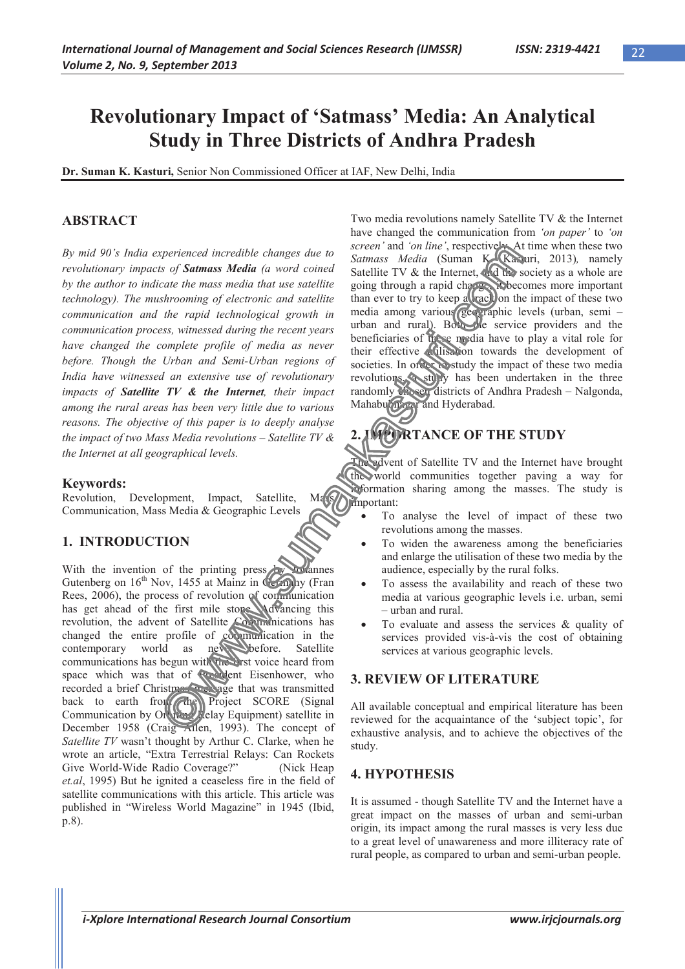## **Revolutionary Impact of 'Satmass' Media: An Analytical Study in Three Districts of Andhra Pradesh**

**Dr. Suman K. Kasturi,** Senior Non Commissioned Officer at IAF, New Delhi, India

## **ABSTRACT**

*By mid 90's India experienced incredible changes due to revolutionary impacts of Satmass Media (a word coined by the author to indicate the mass media that use satellite technology). The mushrooming of electronic and satellite communication and the rapid technological growth in communication process, witnessed during the recent years have changed the complete profile of media as never before. Though the Urban and Semi-Urban regions of India have witnessed an extensive use of revolutionary impacts of Satellite TV & the Internet, their impact among the rural areas has been very little due to various reasons. The objective of this paper is to deeply analyse the impact of two Mass Media revolutions – Satellite TV & the Internet at all geographical levels.*

#### **Keywords:**

Revolution, Development, Impact, Satellite, Communication, Mass Media & Geographic Levels

## **1. INTRODUCTION**

With the invention of the printing press by Johannes Gutenberg on  $16<sup>th</sup>$  Nov, 1455 at Mainz in Germany (Fran Rees, 2006), the process of revolution of communication has get ahead of the first mile store. Advancing this revolution, the advent of Satellite Communications has changed the entire profile of communication in the contemporary world as never before. Satellite contemporary world as new before. Satellite communications has begun with the first voice heard from space which was that of President Eisenhower, who recorded a brief Christmas message that was transmitted back to earth from the Project SCORE (Signal Communication by Orbiting Relay Equipment) satellite in December 1958 (Craig Allen, 1993). The concept of *Satellite TV* wasn't thought by Arthur C. Clarke, when he wrote an article, "Extra Terrestrial Relays: Can Rockets Give World-Wide Radio Coverage?" (Nick Heap *et.al*, 1995) But he ignited a ceaseless fire in the field of satellite communications with this article. This article was published in "Wireless World Magazine" in 1945 (Ibid, p.8).

Two media revolutions namely Satellite TV & the Internet have changed the communication from *'on paper'* to *'on screen'* and *'on line'*, respectively. At time when these two *Satmass Media* (Suman K. Kasturi, 2013)*,* namely Satellite TV & the Internet, and the society as a whole are going through a rapid change, it becomes more important than ever to try to keep a react on the impact of these two media among various geographic levels (urban, semi – urban and rural). Both the service providers and the beneficiaries of these media have to play a vital role for their effective utilisation towards the development of societies. In order to study the impact of these two media revolutions, a study has been undertaken in the three randomly chosen districts of Andhra Pradesh – Nalgonda, Mahabubnagar and Hyderabad.

# **2. VIPORTANCE OF THE STUDY**

advent of Satellite TV and the Internet have brought the world communities together paving a way for information sharing among the masses. The study is Mass important:

- x To analyse the level of impact of these two revolutions among the masses.
- To widen the awareness among the beneficiaries and enlarge the utilisation of these two media by the audience, especially by the rural folks.
- To assess the availability and reach of these two media at various geographic levels i.e. urban, semi – urban and rural.
- To evaluate and assess the services  $\&$  quality of services provided vis-à-vis the cost of obtaining services at various geographic levels.

## **3. REVIEW OF LITERATURE**

All available conceptual and empirical literature has been reviewed for the acquaintance of the 'subject topic', for exhaustive analysis, and to achieve the objectives of the study.

## **4. HYPOTHESIS**

It is assumed - though Satellite TV and the Internet have a great impact on the masses of urban and semi-urban origin, its impact among the rural masses is very less due to a great level of unawareness and more illiteracy rate of rural people, as compared to urban and semi-urban people.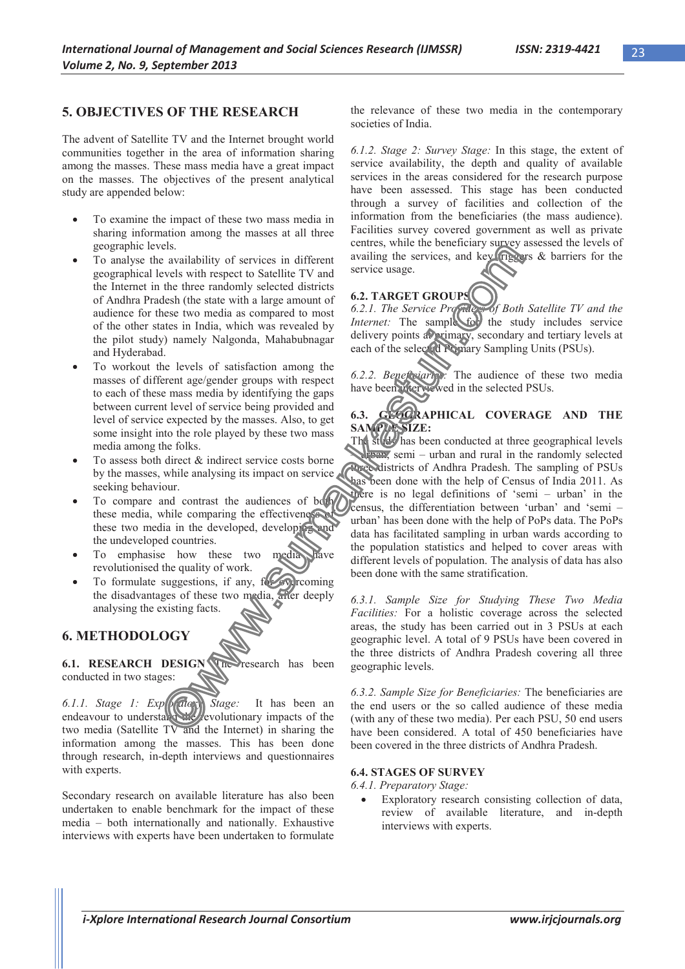### **5. OBJECTIVES OF THE RESEARCH**

The advent of Satellite TV and the Internet brought world communities together in the area of information sharing among the masses. These mass media have a great impact on the masses. The objectives of the present analytical study are appended below:

- To examine the impact of these two mass media in sharing information among the masses at all three geographic levels.
- To analyse the availability of services in different geographical levels with respect to Satellite TV and the Internet in the three randomly selected districts of Andhra Pradesh (the state with a large amount of audience for these two media as compared to most of the other states in India, which was revealed by the pilot study) namely Nalgonda, Mahabubnagar and Hyderabad.
- To workout the levels of satisfaction among the masses of different age/gender groups with respect to each of these mass media by identifying the gaps between current level of service being provided and level of service expected by the masses. Also, to get some insight into the role played by these two mass media among the folks.
- To assess both direct  $\&$  indirect service costs borne by the masses, while analysing its impact on service seeking behaviour.
- To compare and contrast the audiences of both these media, while comparing the effectiveness these two media in the developed, developing and the undeveloped countries.
- To emphasise how these two media revolutionised the quality of work.
- To formulate suggestions, if any,  $f(x)$  overcoming the disadvantages of these two media, after deeply analysing the existing facts.

## **6. METHODOLOGY**

**6.1. RESEARCH DESIGN The research has been** conducted in two stages:

*6.1.1. Stage 1: Exploratory Stage:* It has been an endeavour to understand revolutionary impacts of the two media (Satellite TV and the Internet) in sharing the information among the masses. This has been done through research, in-depth interviews and questionnaires with experts.

Secondary research on available literature has also been undertaken to enable benchmark for the impact of these media – both internationally and nationally. Exhaustive interviews with experts have been undertaken to formulate

the relevance of these two media in the contemporary societies of India.

*6.1.2. Stage 2: Survey Stage:* In this stage, the extent of service availability, the depth and quality of available services in the areas considered for the research purpose have been assessed. This stage has been conducted through a survey of facilities and collection of the information from the beneficiaries (the mass audience). Facilities survey covered government as well as private centres, while the beneficiary survey assessed the levels of availing the services, and key  $($ riggers  $\&$  barriers for the service usage.

## **6.2. TARGET GROUPS**

*6.2.1. The Service Providers of Both Satellite TV and the Internet:* The sample for the study includes service delivery points at primary, secondary and tertiary levels at each of the selected Primary Sampling Units (PSUs).

*6.2.2. Beneficiaries:* The audience of these two media have been interviewed in the selected PSUs.

### **6.3. GEOGRAPHICAL COVERAGE AND THE**  SAMPLE SIZE:

The study has been conducted at three geographical levels From, semi – urban and rural in the randomly selected three districts of Andhra Pradesh. The sampling of PSUs has been done with the help of Census of India 2011. As there is no legal definitions of 'semi – urban' in the census, the differentiation between 'urban' and 'semi – urban' has been done with the help of PoPs data. The PoPs data has facilitated sampling in urban wards according to the population statistics and helped to cover areas with different levels of population. The analysis of data has also been done with the same stratification.

*6.3.1. Sample Size for Studying These Two Media Facilities:* For a holistic coverage across the selected areas, the study has been carried out in 3 PSUs at each geographic level. A total of 9 PSUs have been covered in the three districts of Andhra Pradesh covering all three geographic levels.

*6.3.2. Sample Size for Beneficiaries:* The beneficiaries are the end users or the so called audience of these media (with any of these two media). Per each PSU, 50 end users have been considered. A total of 450 beneficiaries have been covered in the three districts of Andhra Pradesh.

#### **6.4. STAGES OF SURVEY**

*6.4.1. Preparatory Stage:*

Exploratory research consisting collection of data, review of available literature, and in-depth interviews with experts.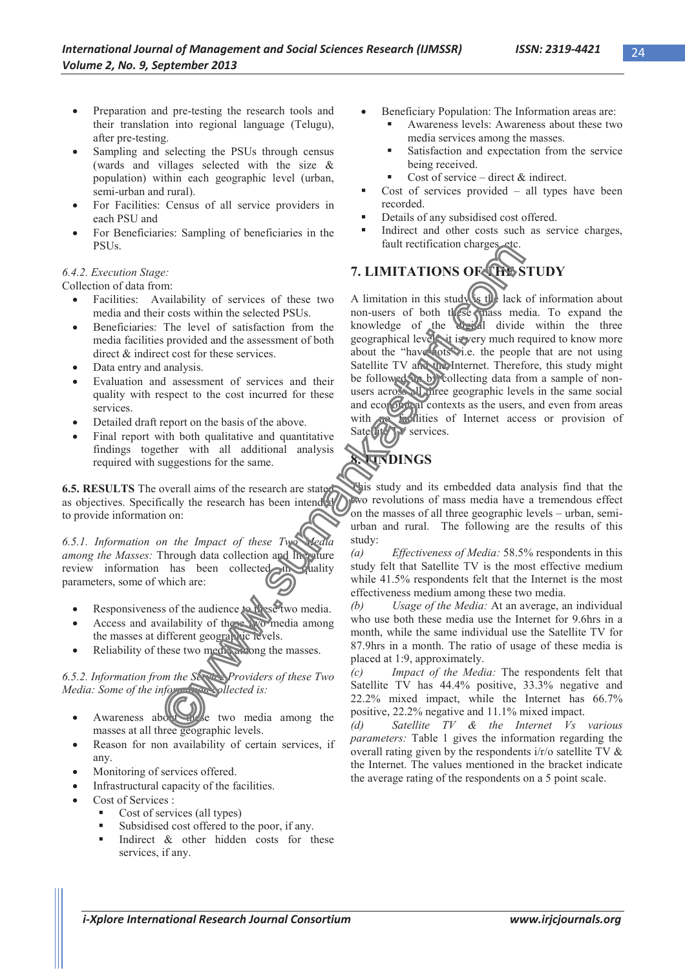- Preparation and pre-testing the research tools and their translation into regional language (Telugu), after pre-testing.
- Sampling and selecting the PSUs through census (wards and villages selected with the size & population) within each geographic level (urban, semi-urban and rural).
- For Facilities: Census of all service providers in each PSU and
- For Beneficiaries: Sampling of beneficiaries in the PSUs.

#### *6.4.2. Execution Stage:*

Collection of data from:

- Facilities: Availability of services of these two media and their costs within the selected PSUs.
- Beneficiaries: The level of satisfaction from the media facilities provided and the assessment of both direct & indirect cost for these services.
- Data entry and analysis.
- Evaluation and assessment of services and their quality with respect to the cost incurred for these services.
- Detailed draft report on the basis of the above.
- Final report with both qualitative and quantitative findings together with all additional analysis required with suggestions for the same.

**6.5. RESULTS** The overall aims of the research are stated as objectives. Specifically the research has been intended to provide information on:

*6.5.1. Information on the Impact of these Two Media among the Masses:* Through data collection and literature review information has been collected in quality parameters, some of which are:

- Responsiveness of the audience to these two media.
- Access and availability of these two media among the masses at different geographic levels.
- Reliability of these two media among the masses.

*6.5.2. Information from the Service Providers of these Two Media: Some of the information collected is:*

- Awareness about two media among the masses at all three geographic levels.
- Reason for non availability of certain services, if any.
- Monitoring of services offered.
- x Infrastructural capacity of the facilities.
- Cost of Services :
	- Cost of services (all types)
	- Subsidised cost offered to the poor, if any.
	- Indirect & other hidden costs for these services, if any.
- Beneficiary Population: The Information areas are:
	- Awareness levels: Awareness about these two media services among the masses.
	- **Satisfaction and expectation from the service** being received.
	- Cost of service direct  $\&$  indirect.
- Cost of services provided all types have been recorded.
- Details of any subsidised cost offered.
- Indirect and other costs such as service charges, fault rectification charges

# **7. LIMITATIONS OF THE STUDY**

A limitation in this study is the lack of information about non-users of both these mass media. To expand the knowledge of the digital divide within the three geographical levels, it is very much required to know more about the "have-nots" i.e. the people that are not using Satellite TV and the Internet. Therefore, this study might be followed up by collecting data from a sample of nonusers across all three geographic levels in the same social and economical contexts as the users, and even from areas with no facilities of Internet access or provision of with the facilities of

## **8. FINDINGS**

This study and its embedded data analysis find that the two revolutions of mass media have a tremendous effect on the masses of all three geographic levels – urban, semiurban and rural. The following are the results of this study:

*(a) Effectiveness of Media:* 58.5% respondents in this study felt that Satellite TV is the most effective medium while 41.5% respondents felt that the Internet is the most effectiveness medium among these two media.

*(b) Usage of the Media:* At an average, an individual who use both these media use the Internet for 9.6hrs in a month, while the same individual use the Satellite TV for 87.9hrs in a month. The ratio of usage of these media is placed at 1:9, approximately.

*(c) Impact of the Media:* The respondents felt that Satellite TV has 44.4% positive, 33.3% negative and 22.2% mixed impact, while the Internet has 66.7% positive, 22.2% negative and 11.1% mixed impact.

*(d) Satellite TV & the Internet Vs various parameters:* Table 1 gives the information regarding the overall rating given by the respondents i/r/o satellite TV & the Internet. The values mentioned in the bracket indicate the average rating of the respondents on a 5 point scale.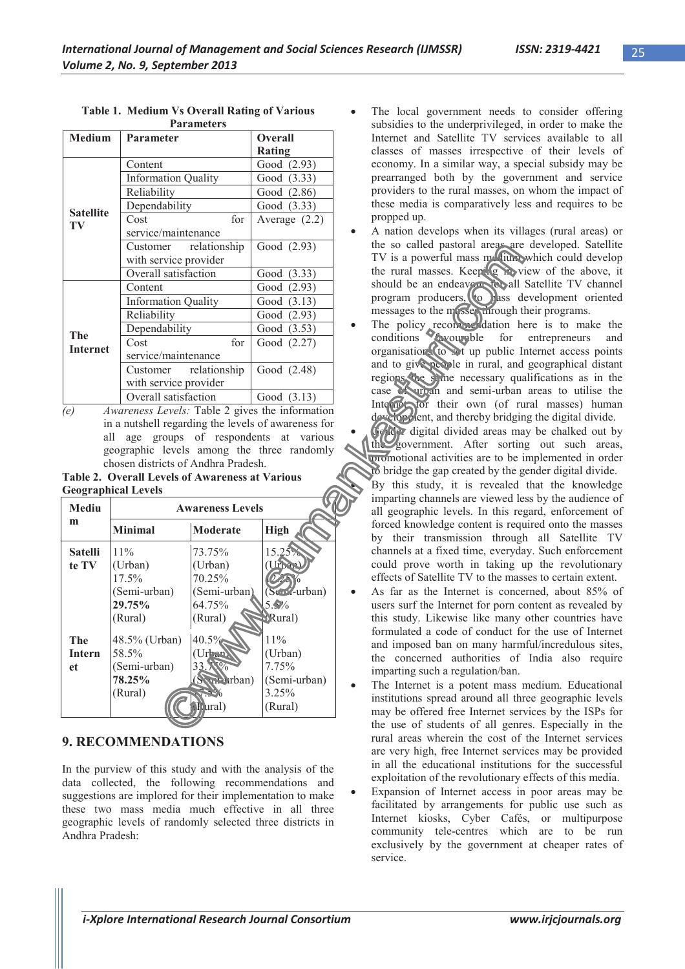| <b>Medium</b>          | Parameter                  | <b>Overall</b>  |
|------------------------|----------------------------|-----------------|
|                        |                            | Rating          |
| <b>Satellite</b><br>TV | Content                    | Good (2.93)     |
|                        | <b>Information Quality</b> | Good (3.33)     |
|                        | Reliability                | Good (2.86)     |
|                        | Dependability              | Good (3.33)     |
|                        | for<br>Cost                | Average $(2.2)$ |
|                        | service/maintenance        |                 |
|                        | Customer relationship      | Good (2.93)     |
|                        | with service provider      |                 |
|                        | Overall satisfaction       | Good (3.33)     |
| The<br><b>Internet</b> | Content                    | Good (2.93)     |
|                        | <b>Information Quality</b> | Good $(3.13)$   |
|                        | Reliability                | Good (2.93)     |
|                        | Dependability              | Good (3.53)     |
|                        | for<br>Cost                | Good (2.27)     |
|                        | service/maintenance        |                 |
|                        | Customer relationship      | Good (2.48)     |
|                        | with service provider      |                 |
|                        | Overall satisfaction       | Good (3.13)     |

**Table 1. Medium Vs Overall Rating of Various Parameters** 

*(e) Awareness Levels:* Table 2 gives the information in a nutshell regarding the levels of awareness for all age groups of respondents at various geographic levels among the three randomly chosen districts of Andhra Pradesh.

**Table 2. Overall Levels of Awareness at Various Geographical Levels**

| <b>Mediu</b>                      | <b>Awareness Levels</b>                                            |                                                                                |                                                             |  |
|-----------------------------------|--------------------------------------------------------------------|--------------------------------------------------------------------------------|-------------------------------------------------------------|--|
| m                                 | <b>Minimal</b>                                                     | Moderate                                                                       | <b>High</b>                                                 |  |
| <b>Satelli</b><br>te TV           | $11\%$<br>(Urban)<br>$17.5\%$<br>(Semi-urban)<br>29.75%<br>(Rural) | 73.75%<br>(Urban)<br>70.25%<br>(Semi-urban)<br>64.75%<br>(Rural)               | 15.25%<br>$(Sem$ -urban)<br>5.9%<br><b>Rural</b> )          |  |
| <b>The</b><br><b>Intern</b><br>et | 48.5% (Urban)<br>58.5%<br>(Semi-urban)<br>78.25%<br>(Rural)        | $40.5\%$<br>Jrban)<br>33<br>$S_{\text{sub}}$ $\text{rban}$ )<br><b>Rural</b> ) | 11%<br>(Urban)<br>7.75%<br>(Semi-urban)<br>3.25%<br>(Rural) |  |

## **9. RECOMMENDATIONS**

In the purview of this study and with the analysis of the data collected, the following recommendations and suggestions are implored for their implementation to make these two mass media much effective in all three geographic levels of randomly selected three districts in Andhra Pradesh:

- The local government needs to consider offering subsidies to the underprivileged, in order to make the Internet and Satellite TV services available to all classes of masses irrespective of their levels of economy. In a similar way, a special subsidy may be prearranged both by the government and service providers to the rural masses, on whom the impact of these media is comparatively less and requires to be propped up.
- A nation develops when its villages (rural areas) or the so called pastoral areas are developed. Satellite TV is a powerful mass medium which could develop the rural masses. Keeping in view of the above, it should be an endeavour for all Satellite TV channel program producers, to pass development oriented messages to the masses through their programs.
- The policy recommendation here is to make the conditions **conditions** for entrepreneurs and organisations to set up public Internet access points and to give people in rural, and geographical distant regions the same necessary qualifications as in the case of urban and semi-urban areas to utilise the Internet for their own (of rural masses) human development, and thereby bridging the digital divide.
- Gender digital divided areas may be chalked out by the government. After sorting out such areas, promotional activities are to be implemented in order to bridge the gap created by the gender digital divide.
	- By this study, it is revealed that the knowledge imparting channels are viewed less by the audience of all geographic levels. In this regard, enforcement of forced knowledge content is required onto the masses by their transmission through all Satellite TV channels at a fixed time, everyday. Such enforcement could prove worth in taking up the revolutionary effects of Satellite TV to the masses to certain extent.
- As far as the Internet is concerned, about 85% of users surf the Internet for porn content as revealed by this study. Likewise like many other countries have formulated a code of conduct for the use of Internet and imposed ban on many harmful/incredulous sites, the concerned authorities of India also require imparting such a regulation/ban.
- The Internet is a potent mass medium. Educational institutions spread around all three geographic levels may be offered free Internet services by the ISPs for the use of students of all genres. Especially in the rural areas wherein the cost of the Internet services are very high, free Internet services may be provided in all the educational institutions for the successful exploitation of the revolutionary effects of this media.
- Expansion of Internet access in poor areas may be facilitated by arrangements for public use such as Internet kiosks, Cyber Cafés, or multipurpose community tele-centres which are to be run exclusively by the government at cheaper rates of service.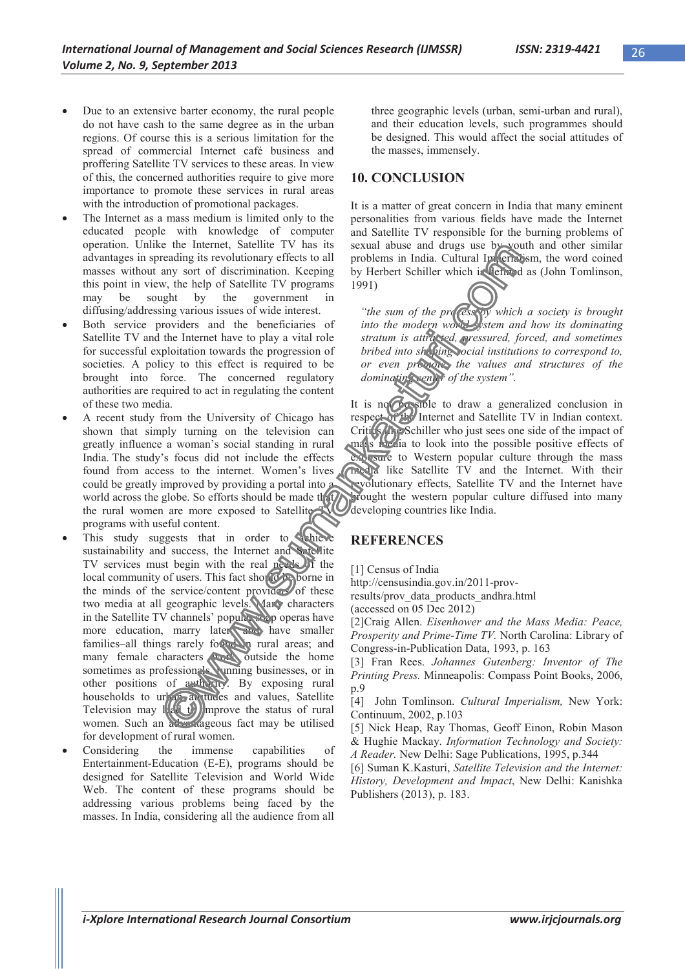- Due to an extensive barter economy, the rural people do not have cash to the same degree as in the urban regions. Of course this is a serious limitation for the spread of commercial Internet café business and proffering Satellite TV services to these areas. In view of this, the concerned authorities require to give more importance to promote these services in rural areas with the introduction of promotional packages.
- The Internet as a mass medium is limited only to the educated people with knowledge of computer operation. Unlike the Internet, Satellite TV has its advantages in spreading its revolutionary effects to all masses without any sort of discrimination. Keeping this point in view, the help of Satellite TV programs may be sought by the government in diffusing/addressing various issues of wide interest.
- Both service providers and the beneficiaries of Satellite TV and the Internet have to play a vital role for successful exploitation towards the progression of societies. A policy to this effect is required to be brought into force. The concerned regulatory authorities are required to act in regulating the content of these two media.
- A recent study from the University of Chicago has shown that simply turning on the television can greatly influence a woman's social standing in rural India. The study's focus did not include the effects found from access to the internet. Women's lives could be greatly improved by providing a portal into a world across the globe. So efforts should be made that the rural women are more exposed to Satellite programs with useful content.
- This study suggests that in order to schieve sustainability and success, the Internet and Satellite TV services must begin with the real needs of the local community of users. This fact should be borne in the minds of the service/content providers of these two media at all geographic levels. Many characters in the Satellite TV channels' popular soap operas have more education, marry later, and have smaller families–all things rarely found in rural areas; and many female characters work outside the home sometimes as professionals, vunning businesses, or in other positions of authority. By exposing rural households to  $\frac{ur}{r}$  at the and values, Satellite Television may  $\mathbb{I}(\{t\})$  mprove the status of rural women. Such an advantageous fact may be utilised for development of rural women.
- Considering the immense capabilities of Entertainment-Education (E-E), programs should be designed for Satellite Television and World Wide Web. The content of these programs should be addressing various problems being faced by the masses. In India, considering all the audience from all

three geographic levels (urban, semi-urban and rural), and their education levels, such programmes should be designed. This would affect the social attitudes of the masses, immensely.

## **10. CONCLUSION**

It is a matter of great concern in India that many eminent personalities from various fields have made the Internet and Satellite TV responsible for the burning problems of sexual abuse and drugs use by youth and other similar problems in India. Cultural Imperiatism, the word coined by Herbert Schiller which is defined as (John Tomlinson, 1991)

"the sum of the process by which a society is brought *into the modern world system and how its dominating stratum is attracted, pressured, forced, and sometimes bribed into shaping ocial institutions to correspond to, or even promote, the values and structures of the dominating center of the system".*

It is not possible to draw a generalized conclusion in respect of the Internet and Satellite TV in Indian context. Critics like Schiller who just sees one side of the impact of mass media to look into the possible positive effects of exposure to Western popular culture through the mass media like Satellite TV and the Internet. With their revolutionary effects, Satellite TV and the Internet have brought the western popular culture diffused into many developing countries like India.

### **REFERENCES**

[1] Census of India

http://censusindia.gov.in/2011-prov-

results/prov\_data\_products\_andhra.html

(accessed on 05 Dec 2012)

[2]Craig Allen. *Eisenhower and the Mass Media: Peace, Prosperity and Prime-Time TV.* North Carolina: Library of Congress-in-Publication Data, 1993, p. 163

[3] Fran Rees. *Johannes Gutenberg: Inventor of The Printing Press.* Minneapolis: Compass Point Books, 2006, p.9

[4] John Tomlinson. *Cultural Imperialism,* New York: Continuum, 2002, p.103

[5] Nick Heap, Ray Thomas, Geoff Einon, Robin Mason & Hughie Mackay. *Information Technology and Society: A Reader.* New Delhi: Sage Publications, 1995, p.344

[6] Suman K.Kasturi, *Satellite Television and the Internet: History, Development and Impact*, New Delhi: Kanishka Publishers (2013), p. 183.